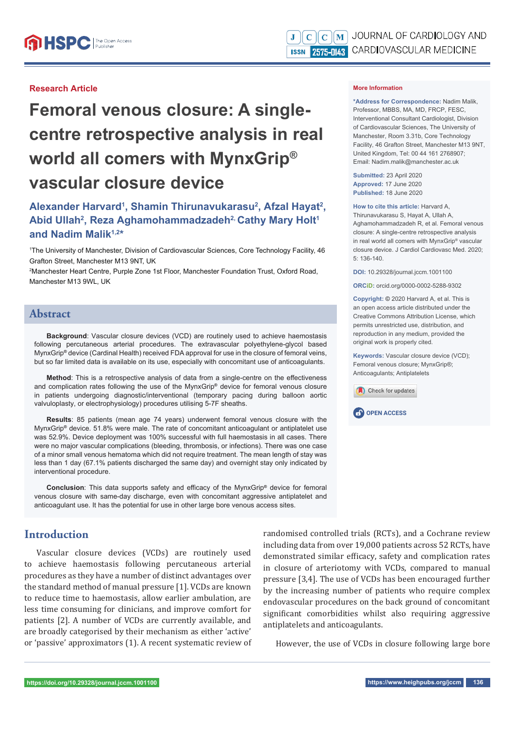## **Research Article**

# **Femoral venous closure: A singlecentre retrospective analysis in real world all comers with MynxGrip® vascular closure device**

# Alexander Harvard<sup>1</sup>, Shamin Thirunavukarasu<sup>2</sup>, Afzal Hayat<sup>2</sup>, Abid Ullah<sup>2</sup>, Reza Aghamohammadzadeh<sup>2,</sup> Cathy Mary Holt<sup>1</sup> **and Nadim Malik1,2\***

1 The University of Manchester, Division of Cardiovascular Sciences, Core Technology Facility, 46 Grafton Street, Manchester M13 9NT, UK

2 Manchester Heart Centre, Purple Zone 1st Floor, Manchester Foundation Trust, Oxford Road, Manchester M13 9WL, UK

## **Abstract**

**Background**: Vascular closure devices (VCD) are routinely used to achieve haemostasis following percutaneous arterial procedures. The extravascular polyethylene-glycol based MynxGrip**®** device (Cardinal Health) received FDA approval for use in the closure of femoral veins, but so far limited data is available on its use, especially with concomitant use of anticoagulants.

**Method**: This is a retrospective analysis of data from a single-centre on the effectiveness and complication rates following the use of the MynxGrip**®** device for femoral venous closure in patients undergoing diagnostic/interventional (temporary pacing during balloon aortic valvuloplasty, or electrophysiology) procedures utilising 5-7F sheaths.

**Results**: 85 patients (mean age 74 years) underwent femoral venous closure with the MynxGrip**®** device. 51.8% were male. The rate of concomitant anticoagulant or antiplatelet use was 52.9%. Device deployment was 100% successful with full haemostasis in all cases. There were no major vascular complications (bleeding, thrombosis, or infections). There was one case of a minor small venous hematoma which did not require treatment. The mean length of stay was less than 1 day (67.1% patients discharged the same day) and overnight stay only indicated by interventional procedure.

**Conclusion**: This data supports safety and efficacy of the MynxGrip<sup>®</sup> device for femoral venous closure with same-day discharge, even with concomitant aggressive antiplatelet and anticoagulant use. It has the potential for use in other large bore venous access sites.

# **Introduction**

Vascular closure devices (VCDs) are routinely used to achieve haemostasis following percutaneous arterial procedures as they have a number of distinct advantages over the standard method of manual pressure [1]. VCDs are known to reduce time to haemostasis, allow earlier ambulation, are less time consuming for clinicians, and improve comfort for patients [2]. A number of VCDs are currently available, and are broadly categorised by their mechanism as either 'active' or 'passive' approximators (1). A recent systematic review of randomised controlled trials (RCTs), and a Cochrane review including data from over 19,000 patients across 52 RCTs, have demonstrated similar efficacy, safety and complication rates in closure of arteriotomy with VCDs, compared to manual pressure [3,4]. The use of VCDs has been encouraged further by the increasing number of patients who require complex endovascular procedures on the back ground of concomitant significant comorbidities whilst also requiring aggressive antiplatelets and anticoagulants.

However, the use of VCDs in closure following large bore

#### **More Information**

**\*Address for Correspondence:** Nadim Malik, Professor, MBBS, MA, MD, FRCP, FESC, Interventional Consultant Cardiologist, Division of Cardiovascular Sciences, The University of Manchester, Room 3.31b, Core Technology Facility, 46 Grafton Street, Manchester M13 9NT, United Kingdom, Tel: 00 44 161 2768907; Email: Nadim.malik@manchester.ac.uk

**Submitted:** 23 April 2020 **Approved:** 17 June 2020 **Published:** 18 June 2020

#### **How to cite this article:** Harvard A,

Thirunavukarasu S, Hayat A, Ullah A, Aghamohammadzadeh R, et al. Femoral venous closure: A single-centre retrospective analysis in real world all comers with MynxGrip® vascular closure device. J Cardiol Cardiovasc Med. 2020; 5: 136-140.

**DOI:** 10.29328/journal.jccm.1001100

**ORCiD:** orcid.org/0000-0002-5288-9302

**Copyright: ©** 2020 Harvard A, et al. This is an open access article distributed under the Creative Commons Attribution License, which permits unrestricted use, distribution, and reproduction in any medium, provided the original work is properly cited.

**Keywords:** Vascular closure device (VCD); Femoral venous closure; MynxGrip®; Anticoagulants; Antiplatelets

Check for updates

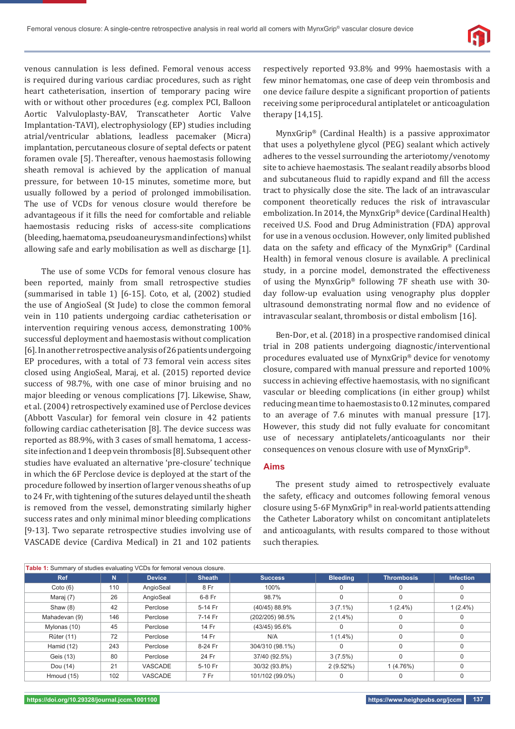

venous cannulation is less defined. Femoral venous access is required during various cardiac procedures, such as right heart catheterisation, insertion of temporary pacing wire with or without other procedures (e.g. complex PCI, Balloon Aortic Valvuloplasty-BAV, Transcatheter Aortic Valve Implantation-TAVI), electrophysiology (EP) studies including atrial/ventricular ablations, leadless pacemaker (Micra) implantation, percutaneous closure of septal defects or patent foramen ovale [5]. Thereafter, venous haemostasis following sheath removal is achieved by the application of manual pressure, for between 10-15 minutes, sometime more, but usually followed by a period of prolonged immobilisation. The use of VCDs for venous closure would therefore be advantageous if it fills the need for comfortable and reliable haemostasis reducing risks of access-site complications (bleeding, haematoma, pseudoaneurysm and infections) whilst allowing safe and early mobilisation as well as discharge [1].

 The use of some VCDs for femoral venous closure has been reported, mainly from small retrospective studies (summarised in table 1) [6-15]. Coto, et al, (2002) studied the use of AngioSeal (St Jude) to close the common femoral vein in 110 patients undergoing cardiac catheterisation or intervention requiring venous access, demonstrating 100% successful deployment and haemostasis without complication [6]. In another retrospective analysis of 26 patients undergoing EP procedures, with a total of 73 femoral vein access sites closed using AngioSeal, Maraj, et al. (2015) reported device success of 98.7%, with one case of minor bruising and no major bleeding or venous complications [7]. Likewise, Shaw, et al. (2004) retrospectively examined use of Perclose devices (Abbott Vascular) for femoral vein closure in 42 patients following cardiac catheterisation [8]. The device success was reported as 88.9%, with 3 cases of small hematoma, 1 accesssite infection and 1 deep vein thrombosis [8]. Subsequent other studies have evaluated an alternative 'pre-closure' technique in which the 6F Perclose device is deployed at the start of the procedure followed by insertion of larger venous sheaths of up to 24 Fr, with tightening of the sutures delayed until the sheath is removed from the vessel, demonstrating similarly higher success rates and only minimal minor bleeding complications [9-13]. Two separate retrospective studies involving use of VASCADE device (Cardiva Medical) in 21 and 102 patients respectively reported 93.8% and 99% haemostasis with a few minor hematomas, one case of deep vein thrombosis and one device failure despite a significant proportion of patients receiving some periprocedural antiplatelet or anticoagulation therapy [14,15].

MynxGrip® (Cardinal Health) is a passive approximator that uses a polyethylene glycol (PEG) sealant which actively adheres to the vessel surrounding the arteriotomy/venotomy site to achieve haemostasis. The sealant readily absorbs blood and subcutaneous fluid to rapidly expand and fill the access tract to physically close the site. The lack of an intravascular component theoretically reduces the risk of intravascular embolization. In 2014, the MynxGrip® device (Cardinal Health) received U.S. Food and Drug Administration (FDA) approval for use in a venous occlusion. However, only limited published data on the safety and efficacy of the MynxGrip<sup>®</sup> (Cardinal Health) in femoral venous closure is available. A preclinical study, in a porcine model, demonstrated the effectiveness of using the MynxGrip® following 7F sheath use with 30 day follow-up evaluation using venography plus doppler ultrasound demonstrating normal flow and no evidence of intravascular sealant, thrombosis or distal embolism [16].

Ben-Dor, et al. (2018) in a prospective randomised clinical trial in 208 patients undergoing diagnostic/interventional procedures evaluated use of MynxGrip® device for venotomy closure, compared with manual pressure and reported 100% success in achieving effective haemostasis, with no significant vascular or bleeding complications (in either group) whilst reducing mean time to haemostasis to 0.12 minutes, compared to an average of 7.6 minutes with manual pressure [17]. However, this study did not fully evaluate for concomitant use of necessary antiplatelets/anticoagulants nor their consequences on venous closure with use of MynxGrip®.

#### **Aims**

The present study aimed to retrospectively evaluate the safety, efficacy and outcomes following femoral venous closure using 5-6F MynxGrip® in real-world patients attending the Catheter Laboratory whilst on concomitant antiplatelets and anticoagulants, with results compared to those without such therapies.

| Table 1: Summary of studies evaluating VCDs for femoral venous closure. |     |                |               |                 |                 |                   |                  |  |
|-------------------------------------------------------------------------|-----|----------------|---------------|-----------------|-----------------|-------------------|------------------|--|
| <b>Ref</b>                                                              | N   | <b>Device</b>  | <b>Sheath</b> | <b>Success</b>  | <b>Bleeding</b> | <b>Thrombosis</b> | <b>Infection</b> |  |
| Coto(6)                                                                 | 110 | AngioSeal      | 8 Fr          | 100%            |                 | 0                 | 0                |  |
| Maraj (7)                                                               | 26  | AngioSeal      | 6-8 Fr        | 98.7%           |                 | 0                 | 0                |  |
| Shaw $(8)$                                                              | 42  | Perclose       | 5-14 Fr       | (40/45) 88.9%   | $3(7.1\%)$      | $1(2.4\%)$        | $1(2.4\%)$       |  |
| Mahadevan (9)                                                           | 146 | Perclose       | 7-14 Fr       | (202/205) 98.5% | $2(1.4\%)$      | 0                 | $\Omega$         |  |
| Mylonas (10)                                                            | 45  | Perclose       | 14 Fr         | (43/45) 95.6%   |                 | $\Omega$          | $\Omega$         |  |
| <b>Rüter (11)</b>                                                       | 72  | Perclose       | 14 Fr         | N/A             | $1(1.4\%)$      | $\Omega$          | $\Omega$         |  |
| Hamid (12)                                                              | 243 | Perclose       | 8-24 Fr       | 304/310 (98.1%) |                 | 0                 | 0                |  |
| Geis (13)                                                               | 80  | Perclose       | 24 Fr         | 37/40 (92.5%)   | 3(7.5%)         | 0                 | 0                |  |
| Dou (14)                                                                | 21  | <b>VASCADE</b> | 5-10 Fr       | 30/32 (93.8%)   | $2(9.52\%)$     | 1(4.76%)          | $\mathbf 0$      |  |
| Hmoud (15)                                                              | 102 | <b>VASCADE</b> | 7 Fr          | 101/102 (99.0%) |                 | 0                 | 0                |  |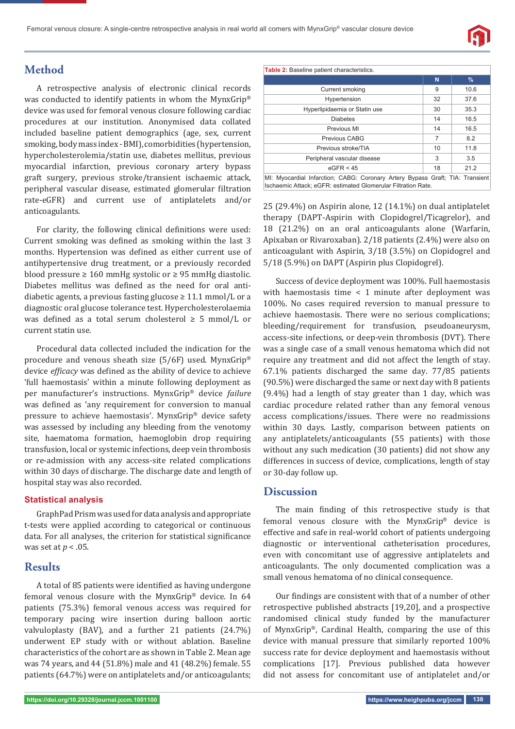

# **Method**

A retrospective analysis of electronic clinical records was conducted to identify patients in whom the MynxGrip® device was used for femoral venous closure following cardiac procedures at our institution. Anonymised data collated included baseline patient demographics (age, sex, current smoking, body mass index - BMI), comorbidities (hypertension, hypercholesterolemia/statin use, diabetes mellitus, previous myocardial infarction, previous coronary artery bypass graft surgery, previous stroke/transient ischaemic attack, peripheral vascular disease, estimated glomerular filtration rate-eGFR) and current use of antiplatelets and/or anticoagulants.

For clarity, the following clinical definitions were used: Current smoking was defined as smoking within the last 3 months. Hypertension was defined as either current use of antihypertensive drug treatment, or a previously recorded blood pressure  $\geq 160$  mmHg systolic or  $\geq 95$  mmHg diastolic. Diabetes mellitus was defined as the need for oral antidiabetic agents, a previous fasting glucose  $\geq 11.1$  mmol/L or a diagnostic oral glucose tolerance test. Hypercholesterolaemia was defined as a total serum cholesterol  $\geq$  5 mmol/L or current statin use.

Procedural data collected included the indication for the procedure and venous sheath size (5/6F) used. MynxGrip® device *efficacy* was defined as the ability of device to achieve 'full haemostasis' within a minute following deployment as per manufacturer's instructions. MynxGrip® device *failure* was defined as 'any requirement for conversion to manual pressure to achieve haemostasis'. MynxGrip® device safety was assessed by including any bleeding from the venotomy site, haematoma formation, haemoglobin drop requiring transfusion, local or systemic infections, deep vein thrombosis or re-admission with any access-site related complications within 30 days of discharge. The discharge date and length of hospital stay was also recorded.

## **Statistical analysis**

GraphPad Prism was used for data analysis and appropriate t-tests were applied according to categorical or continuous data. For all analyses, the criterion for statistical significance was set at *p* < .05.

## **Results**

A total of 85 patients were identified as having undergone femoral venous closure with the MynxGrip® device. In 64 patients (75.3%) femoral venous access was required for temporary pacing wire insertion during balloon aortic valvuloplasty (BAV), and a further 21 patients (24.7%) underwent EP study with or without ablation. Baseline characteristics of the cohort are as shown in Table 2. Mean age was 74 years, and 44 (51.8%) male and 41 (48.2%) female. 55 patients (64.7%) were on antiplatelets and/or anticoagulants;

| <b>Table 2:</b> Baseline patient characteristics.                                                                                              |    |      |
|------------------------------------------------------------------------------------------------------------------------------------------------|----|------|
|                                                                                                                                                | N  | $\%$ |
| Current smoking                                                                                                                                | 9  | 10.6 |
| Hypertension                                                                                                                                   | 32 | 37.6 |
| Hyperlipidaemia or Statin use                                                                                                                  | 30 | 35.3 |
| <b>Diabetes</b>                                                                                                                                | 14 | 16.5 |
| Previous MI                                                                                                                                    | 14 | 16.5 |
| Previous CABG                                                                                                                                  | 7  | 8.2  |
| Previous stroke/TIA                                                                                                                            | 10 | 11.8 |
| Peripheral vascular disease                                                                                                                    | 3  | 3.5  |
| eGFR < 45                                                                                                                                      | 18 | 21.2 |
| MI: Myocardial Infarction; CABG: Coronary Artery Bypass Graft; TIA: Transient<br>Ischaemic Attack; eGFR: estimated Glomerular Filtration Rate. |    |      |

25 (29.4%) on Aspirin alone, 12 (14.1%) on dual antiplatelet therapy (DAPT-Aspirin with Clopidogrel/Ticagrelor), and 18 (21.2%) on an oral anticoagulants alone (Warfarin, Apixaban or Rivaroxaban). 2/18 patients (2.4%) were also on anticoagulant with Aspirin, 3/18 (3.5%) on Clopidogrel and 5/18 (5.9%) on DAPT (Aspirin plus Clopidogrel).

Success of device deployment was 100%. Full haemostasis with haemostasis time < 1 minute after deployment was 100%. No cases required reversion to manual pressure to achieve haemostasis. There were no serious complications; bleeding/requirement for transfusion, pseudoaneurysm, access-site infections, or deep-vein thrombosis (DVT). There was a single case of a small venous hematoma which did not require any treatment and did not affect the length of stay. 67.1% patients discharged the same day. 77/85 patients (90.5%) were discharged the same or next day with 8 patients (9.4%) had a length of stay greater than 1 day, which was cardiac procedure related rather than any femoral venous access complications/issues. There were no readmissions within 30 days. Lastly, comparison between patients on any antiplatelets/anticoagulants (55 patients) with those without any such medication (30 patients) did not show any differences in success of device, complications, length of stay or 30-day follow up.

# **Discussion**

The main finding of this retrospective study is that femoral venous closure with the MynxGrip® device is effective and safe in real-world cohort of patients undergoing diagnostic or interventional catheterisation procedures, even with concomitant use of aggressive antiplatelets and anticoagulants. The only documented complication was a small venous hematoma of no clinical consequence.

Our findings are consistent with that of a number of other retrospective published abstracts [19,20], and a prospective randomised clinical study funded by the manufacturer of MynxGrip®, Cardinal Health, comparing the use of this device with manual pressure that similarly reported 100% success rate for device deployment and haemostasis without complications [17]. Previous published data however did not assess for concomitant use of antiplatelet and/or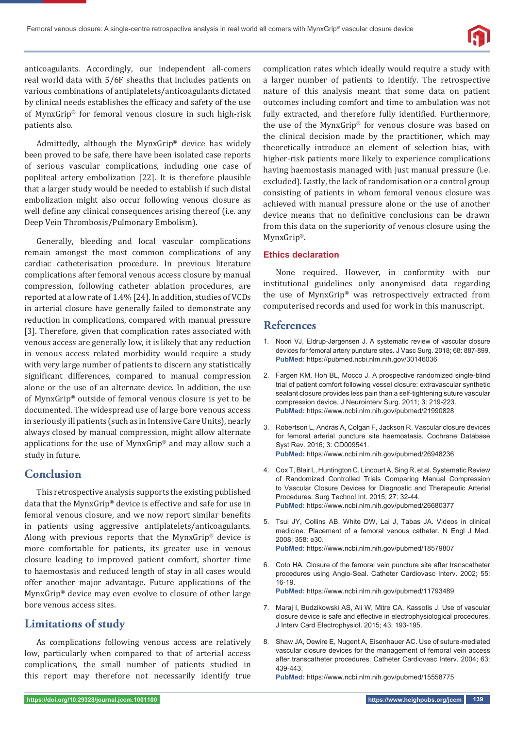

anticoagulants. Accordingly, our independent all-comers real world data with 5/6F sheaths that includes patients on various combinations of antiplatelets/anticoagulants dictated by clinical needs establishes the efficacy and safety of the use of MynxGrip® for femoral venous closure in such high-risk patients also.

Admittedly, although the MynxGrip® device has widely been proved to be safe, there have been isolated case reports of serious vascular complications, including one case of popliteal artery embolization [22]. It is therefore plausible that a larger study would be needed to establish if such distal embolization might also occur following venous closure as well define any clinical consequences arising thereof (i.e. any Deep Vein Thrombosis/Pulmonary Embolism).

Generally, bleeding and local vascular complications remain amongst the most common complications of any cardiac catheterisation procedure. In previous literature complications after femoral venous access closure by manual compression, following catheter ablation procedures, are reported at a low rate of 1.4% [24]. In addition, studies of VCDs in arterial closure have generally failed to demonstrate any reduction in complications, compared with manual pressure [3]. Therefore, given that complication rates associated with venous access are generally low, it is likely that any reduction in venous access related morbidity would require a study with very large number of patients to discern any statistically significant differences, compared to manual compression alone or the use of an alternate device. In addition, the use of MynxGrip® outside of femoral venous closure is yet to be documented. The widespread use of large bore venous access in seriously ill patients (such as in Intensive Care Units), nearly always closed by manual compression, might allow alternate applications for the use of MynxGrip® and may allow such a study in future.

# **Conclusion**

This retrospective analysis supports the existing published data that the MynxGrip® device is effective and safe for use in femoral venous closure, and we now report similar benefits in patients using aggressive antiplatelets/anticoagulants. Along with previous reports that the MynxGrip® device is more comfortable for patients, its greater use in venous closure leading to improved patient comfort, shorter time to haemostasis and reduced length of stay in all cases would offer another major advantage. Future applications of the MynxGrip® device may even evolve to closure of other large bore venous access sites.

# **Limitations of study**

As complications following venous access are relatively low, particularly when compared to that of arterial access complications, the small number of patients studied in this report may therefore not necessarily identify true

complication rates which ideally would require a study with a larger number of patients to identify. The retrospective nature of this analysis meant that some data on patient outcomes including comfort and time to ambulation was not fully extracted, and therefore fully identified. Furthermore, the use of the MynxGrip® for venous closure was based on the clinical decision made by the practitioner, which may theoretically introduce an element of selection bias, with higher-risk patients more likely to experience complications having haemostasis managed with just manual pressure (i.e. excluded). Lastly, the lack of randomisation or a control group consisting of patients in whom femoral venous closure was achieved with manual pressure alone or the use of another device means that no definitive conclusions can be drawn from this data on the superiority of venous closure using the MynxGrip®.

### **Ethics declaration**

None required. However, in conformity with our institutional guidelines only anonymised data regarding the use of MynxGrip® was retrospectively extracted from computerised records and used for work in this manuscript.

# **References**

- 1. Noori VJ, Eldrup-Jørgensen J. A systematic review of vascular closure devices for femoral artery puncture sites. J Vasc Surg. 2018; 68: 887-899. **PubMed:** https://pubmed.ncbi.nlm.nih.gov/30146036
- 2. Fargen KM, Hoh BL, Mocco J. A prospective randomized single-blind trial of patient comfort following vessel closure: extravascular synthetic sealant closure provides less pain than a self-tightening suture vascular compression device. J Neurointerv Surg. 2011; 3: 219-223. **PubMed:** https://www.ncbi.nlm.nih.gov/pubmed/21990828
- 3. Robertson L, Andras A, Colgan F, Jackson R. Vascular closure devices for femoral arterial puncture site haemostasis. Cochrane Database Syst Rev. 2016; 3: CD009541. **PubMed:** https://www.ncbi.nlm.nih.gov/pubmed/26948236
- 4. Cox T, Blair L, Huntington C, Lincourt A, Sing R, et al. Systematic Review of Randomized Controlled Trials Comparing Manual Compression to Vascular Closure Devices for Diagnostic and Therapeutic Arterial Procedures. Surg Technol Int. 2015; 27: 32-44. **PubMed:** https://www.ncbi.nlm.nih.gov/pubmed/26680377
- 5. Tsui JY, Collins AB, White DW, Lai J, Tabas JA. Videos in clinical medicine. Placement of a femoral venous catheter. N Engl J Med. 2008; 358: e30. **PubMed:** https://www.ncbi.nlm.nih.gov/pubmed/18579807
- 6. Coto HA. Closure of the femoral vein puncture site after transcatheter procedures using Angio-Seal. Catheter Cardiovasc Interv. 2002; 55: 16-19.

**PubMed:** https://www.ncbi.nlm.nih.gov/pubmed/11793489

- 7. Maraj I, Budzikowski AS, Ali W, Mitre CA, Kassotis J. Use of vascular closure device is safe and effective in electrophysiological procedures. J Interv Card Electrophysiol. 2015; 43: 193-195.
- 8. Shaw JA, Dewire E, Nugent A, Eisenhauer AC. Use of suture-mediated vascular closure devices for the management of femoral vein access after transcatheter procedures. Catheter Cardiovasc Interv. 2004; 63: 439-443.

**PubMed:** https://www.ncbi.nlm.nih.gov/pubmed/15558775